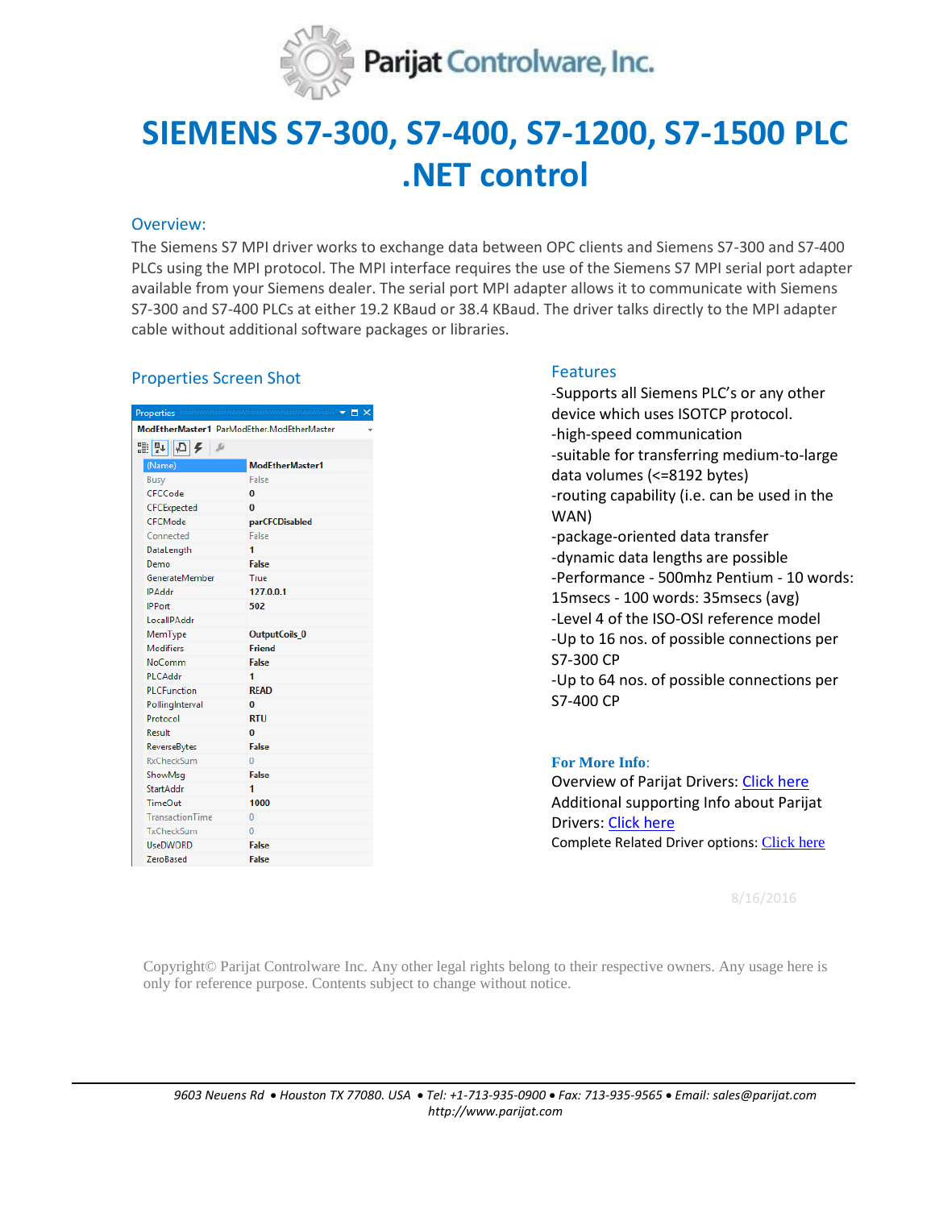

# **SIEMENS S7-300, S7-400, S7-1200, S7-1500 PLC .NET control**

### Overview:

The Siemens S7 MPI driver works to exchange data between OPC clients and Siemens S7-300 and S7-400 PLCs using the MPI protocol. The MPI interface requires the use of the Siemens S7 MPI serial port adapter available from your Siemens dealer. The serial port MPI adapter allows it to communicate with Siemens S7-300 and S7-400 PLCs at either 19.2 KBaud or 38.4 KBaud. The driver talks directly to the MPI adapter cable without additional software packages or libraries.

# Properties Screen Shot Features

| Properties                                 | $\Box$ $\times$      |
|--------------------------------------------|----------------------|
| ModEtherMaster1 ParModEther.ModEtherMaster |                      |
| ≋?↓⊙ ⊁<br>s                                |                      |
| (Name)                                     | ModEtherMaster1      |
| Busy                                       | False                |
| CFCCode                                    | $\bf{0}$             |
| CFCExpected                                | $\bf{0}$             |
| CFCMode                                    | parCFCDisabled       |
| Connected                                  | False                |
| DataLength                                 | 1                    |
| Demo                                       | False                |
| GenerateMember                             | True                 |
| <b>IPAddr</b>                              | 127.0.0.1            |
| <b>IPPort</b>                              | 502                  |
| LocallPAddr                                |                      |
| MemType                                    | <b>OutputCoils 0</b> |
| <b>Modifiers</b>                           | <b>Friend</b>        |
| NoComm                                     | False                |
| PLCAddr                                    | 1                    |
| <b>PLCFunction</b>                         | <b>READ</b>          |
| PollingInterval                            | $\bf{0}$             |
| Protocol                                   | <b>RTU</b>           |
| Result                                     | 0                    |
| ReverseBytes                               | <b>False</b>         |
| RxCheckSum                                 | $\mathbf{0}$         |
| ShowMsq                                    | False                |
| <b>StartAddr</b>                           | 1                    |
| TimeOut                                    | 1000                 |
| <b>TransactionTime</b>                     | $\Omega$             |
| TxCheckSum                                 | $\Omega$             |
| <b>UseDWORD</b>                            | <b>False</b>         |
| ZeroBased                                  | <b>False</b>         |

-Supports all Siemens PLC's or any other device which uses ISOTCP protocol. -high-speed communication -suitable for transferring medium-to-large data volumes (<=8192 bytes) -routing capability (i.e. can be used in the WAN) -package-oriented data transfer -dynamic data lengths are possible -Performance - 500mhz Pentium - 10 words: 15msecs - 100 words: 35msecs (avg)

-Level 4 of the ISO-OSI reference model

-Up to 16 nos. of possible connections per S7-300 CP

-Up to 64 nos. of possible connections per S7-400 CP

## **For More Info**:

Overview of Parijat Drivers: [Click here](http://controlsystemtools.com/Upload/Resource/635429005960035932.docx) Additional supporting Info about Parijat Drivers[: Click here](http://controlsystemtools.com/Upload/Resource/635429008180653804.doc) Complete Related Driver options: [Click here](http://controlsystemtools.com/controlsystemtools/Home/Resources/DriverReport)

8/16/2016

Copyright© Parijat Controlware Inc. Any other legal rights belong to their respective owners. Any usage here is only for reference purpose. Contents subject to change without notice.